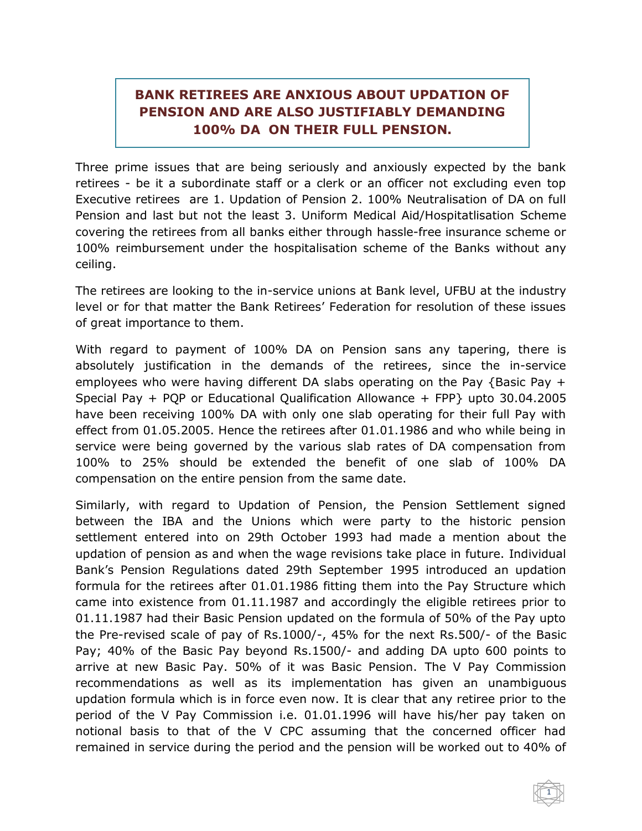## **BANK RETIREES ARE ANXIOUS ABOUT UPDATION OF PENSION AND ARE ALSO JUSTIFIABLY DEMANDING 100% DA ON THEIR FULL PENSION.**

Three prime issues that are being seriously and anxiously expected by the bank retirees - be it a subordinate staff or a clerk or an officer not excluding even top Executive retirees are 1. Updation of Pension 2. 100% Neutralisation of DA on full Pension and last but not the least 3. Uniform Medical Aid/Hospitatlisation Scheme covering the retirees from all banks either through hassle-free insurance scheme or 100% reimbursement under the hospitalisation scheme of the Banks without any ceiling.

The retirees are looking to the in-service unions at Bank level, UFBU at the industry level or for that matter the Bank Retirees' Federation for resolution of these issues of great importance to them.

With regard to payment of 100% DA on Pension sans any tapering, there is absolutely justification in the demands of the retirees, since the in-service employees who were having different DA slabs operating on the Pay {Basic Pay + Special Pay + PQP or Educational Qualification Allowance + FPP} upto 30.04.2005 have been receiving 100% DA with only one slab operating for their full Pay with effect from 01.05.2005. Hence the retirees after 01.01.1986 and who while being in service were being governed by the various slab rates of DA compensation from 100% to 25% should be extended the benefit of one slab of 100% DA compensation on the entire pension from the same date.

Similarly, with regard to Updation of Pension, the Pension Settlement signed between the IBA and the Unions which were party to the historic pension settlement entered into on 29th October 1993 had made a mention about the updation of pension as and when the wage revisions take place in future. Individual Bank's Pension Regulations dated 29th September 1995 introduced an updation formula for the retirees after 01.01.1986 fitting them into the Pay Structure which came into existence from 01.11.1987 and accordingly the eligible retirees prior to 01.11.1987 had their Basic Pension updated on the formula of 50% of the Pay upto the Pre-revised scale of pay of Rs.1000/-, 45% for the next Rs.500/- of the Basic Pay; 40% of the Basic Pay beyond Rs.1500/- and adding DA upto 600 points to arrive at new Basic Pay. 50% of it was Basic Pension. The V Pay Commission recommendations as well as its implementation has given an unambiguous updation formula which is in force even now. It is clear that any retiree prior to the period of the V Pay Commission i.e. 01.01.1996 will have his/her pay taken on notional basis to that of the V CPC assuming that the concerned officer had remained in service during the period and the pension will be worked out to 40% of

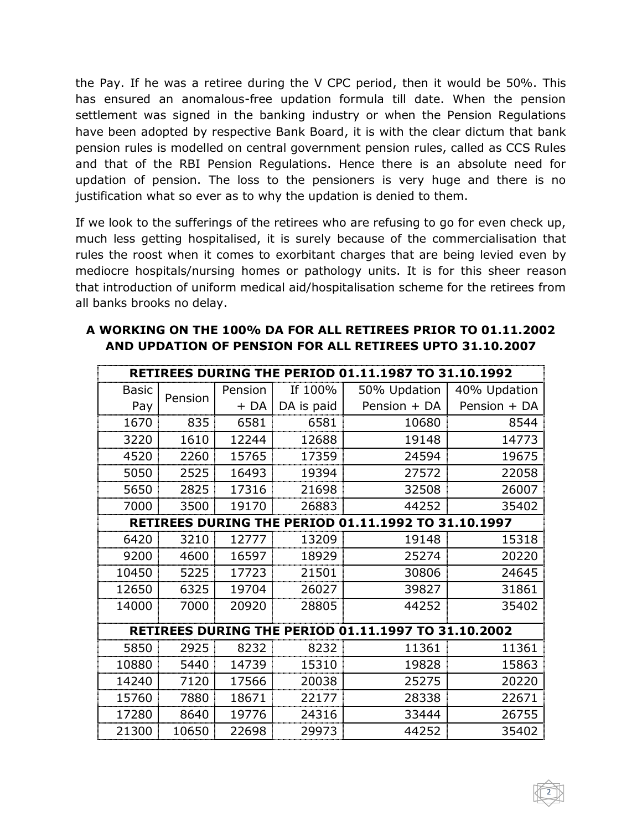the Pay. If he was a retiree during the V CPC period, then it would be 50%. This has ensured an anomalous-free updation formula till date. When the pension settlement was signed in the banking industry or when the Pension Regulations have been adopted by respective Bank Board, it is with the clear dictum that bank pension rules is modelled on central government pension rules, called as CCS Rules and that of the RBI Pension Regulations. Hence there is an absolute need for updation of pension. The loss to the pensioners is very huge and there is no justification what so ever as to why the updation is denied to them.

If we look to the sufferings of the retirees who are refusing to go for even check up, much less getting hospitalised, it is surely because of the commercialisation that rules the roost when it comes to exorbitant charges that are being levied even by mediocre hospitals/nursing homes or pathology units. It is for this sheer reason that introduction of uniform medical aid/hospitalisation scheme for the retirees from all banks brooks no delay.

| <b>RETIREES DURING THE PERIOD 01.11.1987 TO 31.10.1992</b> |         |         |            |              |              |  |  |  |
|------------------------------------------------------------|---------|---------|------------|--------------|--------------|--|--|--|
| <b>Basic</b>                                               | Pension | Pension | If 100%    | 50% Updation | 40% Updation |  |  |  |
| Pay                                                        |         | $+DA$   | DA is paid | Pension + DA | Pension + DA |  |  |  |
| 1670                                                       | 835     | 6581    | 6581       | 10680        | 8544         |  |  |  |
| 3220                                                       | 1610    | 12244   | 12688      | 19148        | 14773        |  |  |  |
| 4520                                                       | 2260    | 15765   | 17359      | 24594        | 19675        |  |  |  |
| 5050                                                       | 2525    | 16493   | 19394      | 27572        | 22058        |  |  |  |
| 5650                                                       | 2825    | 17316   | 21698      | 32508        | 26007        |  |  |  |
| 7000                                                       | 3500    | 19170   | 26883      | 44252        | 35402        |  |  |  |
| <b>RETIREES DURING THE PERIOD 01.11.1992 TO 31.10.1997</b> |         |         |            |              |              |  |  |  |
| 6420                                                       | 3210    | 12777   | 13209      | 19148        | 15318        |  |  |  |
| 9200                                                       | 4600    | 16597   | 18929      | 25274        | 20220        |  |  |  |
| 10450                                                      | 5225    | 17723   | 21501      | 30806        | 24645        |  |  |  |
| 12650                                                      | 6325    | 19704   | 26027      | 39827        | 31861        |  |  |  |
| 14000                                                      | 7000    | 20920   | 28805      | 44252        | 35402        |  |  |  |
| <b>RETIREES DURING THE PERIOD 01.11.1997 TO 31.10.2002</b> |         |         |            |              |              |  |  |  |
| 5850                                                       | 2925    | 8232    | 8232       | 11361        | 11361        |  |  |  |
| 10880                                                      | 5440    | 14739   | 15310      | 19828        | 15863        |  |  |  |
| 14240                                                      | 7120    | 17566   | 20038      | 25275        | 20220        |  |  |  |
| 15760                                                      | 7880    | 18671   | 22177      | 28338        | 22671        |  |  |  |
| 17280                                                      | 8640    | 19776   | 24316      | 33444        | 26755        |  |  |  |
| 21300                                                      | 10650   | 22698   | 29973      | 44252        | 35402        |  |  |  |

## **A WORKING ON THE 100% DA FOR ALL RETIREES PRIOR TO 01.11.2002 AND UPDATION OF PENSION FOR ALL RETIREES UPTO 31.10.2007**

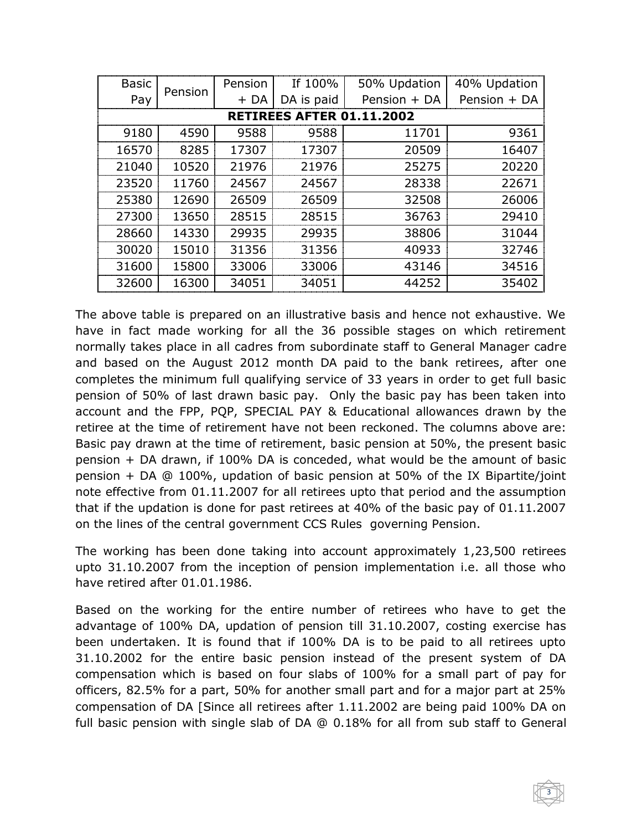| <b>Basic</b>                     | Pension | Pension | If 100%    | 50% Updation | 40% Updation |  |  |  |  |
|----------------------------------|---------|---------|------------|--------------|--------------|--|--|--|--|
| Pay                              |         | $+DA$   | DA is paid | Pension + DA | Pension + DA |  |  |  |  |
| <b>RETIREES AFTER 01.11.2002</b> |         |         |            |              |              |  |  |  |  |
| 9180                             | 4590    | 9588    | 9588       | 11701        | 9361         |  |  |  |  |
| 16570                            | 8285    | 17307   | 17307      | 20509        | 16407        |  |  |  |  |
| 21040                            | 10520   | 21976   | 21976      | 25275        | 20220        |  |  |  |  |
| 23520                            | 11760   | 24567   | 24567      | 28338        | 22671        |  |  |  |  |
| 25380                            | 12690   | 26509   | 26509      | 32508        | 26006        |  |  |  |  |
| 27300                            | 13650   | 28515   | 28515      | 36763        | 29410        |  |  |  |  |
| 28660                            | 14330   | 29935   | 29935      | 38806        | 31044        |  |  |  |  |
| 30020                            | 15010   | 31356   | 31356      | 40933        | 32746        |  |  |  |  |
| 31600                            | 15800   | 33006   | 33006      | 43146        | 34516        |  |  |  |  |
| 32600                            | 16300   | 34051   | 34051      | 44252        | 35402        |  |  |  |  |

The above table is prepared on an illustrative basis and hence not exhaustive. We have in fact made working for all the 36 possible stages on which retirement normally takes place in all cadres from subordinate staff to General Manager cadre and based on the August 2012 month DA paid to the bank retirees, after one completes the minimum full qualifying service of 33 years in order to get full basic pension of 50% of last drawn basic pay. Only the basic pay has been taken into account and the FPP, PQP, SPECIAL PAY & Educational allowances drawn by the retiree at the time of retirement have not been reckoned. The columns above are: Basic pay drawn at the time of retirement, basic pension at 50%, the present basic pension + DA drawn, if 100% DA is conceded, what would be the amount of basic pension + DA @ 100%, updation of basic pension at 50% of the IX Bipartite/joint note effective from 01.11.2007 for all retirees upto that period and the assumption that if the updation is done for past retirees at 40% of the basic pay of 01.11.2007 on the lines of the central government CCS Rules governing Pension.

The working has been done taking into account approximately 1,23,500 retirees upto 31.10.2007 from the inception of pension implementation i.e. all those who have retired after 01.01.1986.

Based on the working for the entire number of retirees who have to get the advantage of 100% DA, updation of pension till 31.10.2007, costing exercise has been undertaken. It is found that if 100% DA is to be paid to all retirees upto 31.10.2002 for the entire basic pension instead of the present system of DA compensation which is based on four slabs of 100% for a small part of pay for officers, 82.5% for a part, 50% for another small part and for a major part at 25% compensation of DA [Since all retirees after 1.11.2002 are being paid 100% DA on full basic pension with single slab of DA @ 0.18% for all from sub staff to General